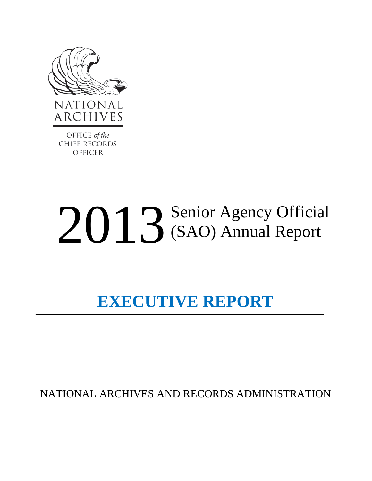

OFFICE of the **CHIEF RECORDS OFFICER** 

# 2013 Senior Agency Official (SAO) Annual Report

# **EXECUTIVE REPORT**

NATIONAL ARCHIVES AND RECORDS ADMINISTRATION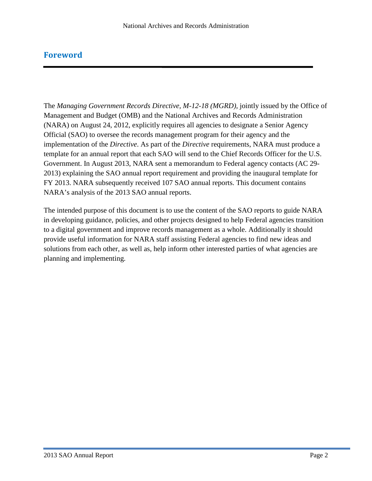#### **Foreword**

The *Managing Government Records Directive, M-12-18 (MGRD),* jointly issued by the Office of Management and Budget (OMB) and the National Archives and Records Administration (NARA) on August 24, 2012, explicitly requires all agencies to designate a Senior Agency Official (SAO) to oversee the records management program for their agency and the implementation of the *Directive*. As part of the *Directive* requirements, NARA must produce a template for an annual report that each SAO will send to the Chief Records Officer for the U.S. Government. In August 2013, NARA sent a memorandum to Federal agency contacts (AC 29- 2013) explaining the SAO annual report requirement and providing the inaugural template for FY 2013. NARA subsequently received 107 SAO annual reports. This document contains NARA's analysis of the 2013 SAO annual reports.

The intended purpose of this document is to use the content of the SAO reports to guide NARA in developing guidance, policies, and other projects designed to help Federal agencies transition to a digital government and improve records management as a whole. Additionally it should provide useful information for NARA staff assisting Federal agencies to find new ideas and solutions from each other, as well as, help inform other interested parties of what agencies are planning and implementing.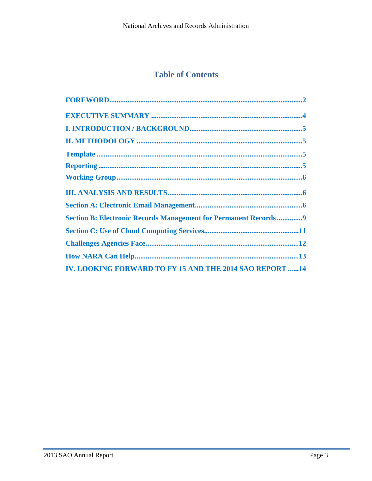# **Table of Contents**

| <b>Section B: Electronic Records Management for Permanent Records9</b> |
|------------------------------------------------------------------------|
|                                                                        |
|                                                                        |
|                                                                        |
| <b>IV. LOOKING FORWARD TO FY 15 AND THE 2014 SAO REPORT 14</b>         |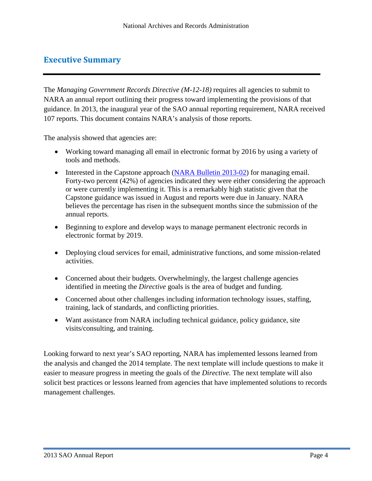#### **Executive Summary**

The *Managing Government Records Directive (M-12-18)* requires all agencies to submit to NARA an annual report outlining their progress toward implementing the provisions of that guidance. In 2013, the inaugural year of the SAO annual reporting requirement, NARA received 107 reports. This document contains NARA's analysis of those reports.

The analysis showed that agencies are:

- Working toward managing all email in electronic format by 2016 by using a variety of tools and methods.
- Interested in the Capstone approach (NARA Bulletin 2013-02) for managing email. Forty-two percent (42%) of agencies indicated they were either considering the approach or were currently implementing it. This is a remarkably high statistic given that the Capstone guidance was issued in August and reports were due in January. NARA believes the percentage has risen in the subsequent months since the submission of the annual reports.
- Beginning to explore and develop ways to manage permanent electronic records in electronic format by 2019.
- Deploying cloud services for email, administrative functions, and some mission-related activities.
- Concerned about their budgets. Overwhelmingly, the largest challenge agencies identified in meeting the *Directive* goals is the area of budget and funding.
- Concerned about other challenges including information technology issues, staffing, training, lack of standards, and conflicting priorities.
- Want assistance from NARA including technical guidance, policy guidance, site visits/consulting, and training.

<span id="page-3-0"></span>Looking forward to next year's SAO reporting, NARA has implemented lessons learned from the analysis and changed the 2014 template. The next template will include questions to make it easier to measure progress in meeting the goals of the *Directive.* The next template will also solicit best practices or lessons learned from agencies that have implemented solutions to records management challenges.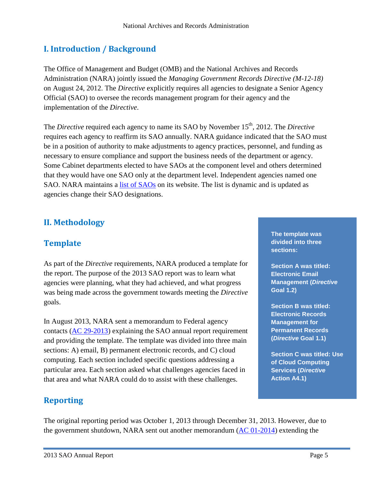# **I. Introduction / Background**

The Office of Management and Budget (OMB) and the National Archives and Records Administration (NARA) jointly issued the *Managing Government Records Directive (M-12-18)*  on August 24, 2012. The *Directive* explicitly requires all agencies to designate a Senior Agency Official (SAO) to oversee the records management program for their agency and the implementation of the *Directive*.

The *Directive* required each agency to name its SAO by November 15<sup>th</sup>, 2012. The *Directive* requires each agency to reaffirm its SAO annually. NARA guidance indicated that the SAO must be in a position of authority to make adjustments to agency practices, personnel, and funding as necessary to ensure compliance and support the business needs of the department or agency. Some Cabinet departments elected to have SAOs at the component level and others determined that they would have one SAO only at the department level. Independent agencies named one SAO. NARA maintains a [list of SAOs](http://www.archives.gov/records-mgmt/agency/sao-list.html) on its website. The list is dynamic and is updated as agencies change their SAO designations.

# **II. Methodology**

# <span id="page-4-0"></span>**Template**

As part of the *Directive* requirements, NARA produced a template for the report. The purpose of the 2013 SAO report was to learn what agencies were planning, what they had achieved, and what progress was being made across the government towards meeting the *Directive* goals.

In August 2013, NARA sent a memorandum to Federal agency contacts [\(AC 29-2013\)](http://www.archives.gov/records-mgmt/memos/ac29-2013.html) explaining the SAO annual report requirement and providing the template. The template was divided into three main sections: A) email, B) permanent electronic records, and C) cloud computing. Each section included specific questions addressing a particular area. Each section asked what challenges agencies faced in that area and what NARA could do to assist with these challenges.

## **Reporting**

The original reporting period was October 1, 2013 through December 31, 2013. However, due to the government shutdown, NARA sent out another memorandum  $(AC 01-2014)$  extending the

**The template was divided into three sections:**

**Section A was titled: Electronic Email Management (***Directive* **Goal 1.2)**

**Section B was titled: Electronic Records Management for Permanent Records (***Directive* **Goal 1.1)**

**Section C was titled: Use of Cloud Computing Services (***Directive* **Action A4.1)**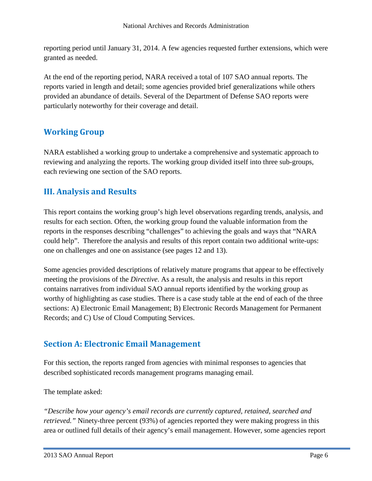reporting period until January 31, 2014. A few agencies requested further extensions, which were granted as needed.

At the end of the reporting period, NARA received a total of 107 SAO annual reports. The reports varied in length and detail; some agencies provided brief generalizations while others provided an abundance of details. Several of the Department of Defense SAO reports were particularly noteworthy for their coverage and detail.

## **Working Group**

NARA established a working group to undertake a comprehensive and systematic approach to reviewing and analyzing the reports. The working group divided itself into three sub-groups, each reviewing one section of the SAO reports.

## **III. Analysis and Results**

This report contains the working group's high level observations regarding trends, analysis, and results for each section. Often, the working group found the valuable information from the reports in the responses describing "challenges" to achieving the goals and ways that "NARA could help". Therefore the analysis and results of this report contain two additional write-ups: one on challenges and one on assistance (see pages 12 and 13).

Some agencies provided descriptions of relatively mature programs that appear to be effectively meeting the provisions of the *Directive*. As a result, the analysis and results in this report contains narratives from individual SAO annual reports identified by the working group as worthy of highlighting as case studies. There is a case study table at the end of each of the three sections: A) Electronic Email Management; B) Electronic Records Management for Permanent Records; and C) Use of Cloud Computing Services.

## <span id="page-5-0"></span>**Section A: Electronic Email Management**

For this section, the reports ranged from agencies with minimal responses to agencies that described sophisticated records management programs managing email.

The template asked:

*"Describe how your agency's email records are currently captured, retained, searched and retrieved.*" Ninety-three percent (93%) of agencies reported they were making progress in this area or outlined full details of their agency's email management. However, some agencies report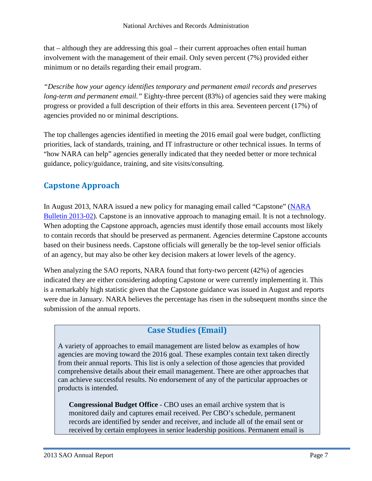that – although they are addressing this goal – their current approaches often entail human involvement with the management of their email. Only seven percent (7%) provided either minimum or no details regarding their email program.

*"Describe how your agency identifies temporary and permanent email records and preserves long-term and permanent email."* Eighty-three percent (83%) of agencies said they were making progress or provided a full description of their efforts in this area. Seventeen percent (17%) of agencies provided no or minimal descriptions.

The top challenges agencies identified in meeting the 2016 email goal were budget, conflicting priorities, lack of standards, training, and IT infrastructure or other technical issues. In terms of "how NARA can help" agencies generally indicated that they needed better or more technical guidance, policy/guidance, training, and site visits/consulting.

# **Capstone Approach**

In August 2013, NARA issued a new policy for managing email called "Capstone" [\(NARA](http://www.archives.gov/records-mgmt/bulletins/2013/2013-02.html)  [Bulletin 2013-02\)](http://www.archives.gov/records-mgmt/bulletins/2013/2013-02.html). Capstone is an innovative approach to managing email. It is not a technology. When adopting the Capstone approach, agencies must identify those email accounts most likely to contain records that should be preserved as permanent. Agencies determine Capstone accounts based on their business needs. Capstone officials will generally be the top-level senior officials of an agency, but may also be other key decision makers at lower levels of the agency.

When analyzing the SAO reports, NARA found that forty-two percent (42%) of agencies indicated they are either considering adopting Capstone or were currently implementing it. This is a remarkably high statistic given that the Capstone guidance was issued in August and reports were due in January. NARA believes the percentage has risen in the subsequent months since the submission of the annual reports.

## **Case Studies (Email)**

A variety of approaches to email management are listed below as examples of how agencies are moving toward the 2016 goal. These examples contain text taken directly from their annual reports. This list is only a selection of those agencies that provided comprehensive details about their email management. There are other approaches that can achieve successful results. No endorsement of any of the particular approaches or products is intended.

**Congressional Budget Office** - CBO uses an email archive system that is monitored daily and captures email received. Per CBO's schedule, permanent records are identified by sender and receiver, and include all of the email sent or received by certain employees in senior leadership positions. Permanent email is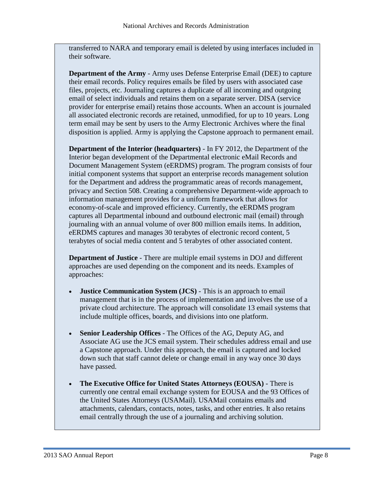transferred to NARA and temporary email is deleted by using interfaces included in their software.

**Department of the Army** - Army uses Defense Enterprise Email (DEE) to capture their email records. Policy requires emails be filed by users with associated case files, projects, etc. Journaling captures a duplicate of all incoming and outgoing email of select individuals and retains them on a separate server. DISA (service provider for enterprise email) retains those accounts. When an account is journaled all associated electronic records are retained, unmodified, for up to 10 years. Long term email may be sent by users to the Army Electronic Archives where the final disposition is applied. Army is applying the Capstone approach to permanent email.

**Department of the Interior (headquarters)** - In FY 2012, the Department of the Interior began development of the Departmental electronic eMail Records and Document Management System (eERDMS) program. The program consists of four initial component systems that support an enterprise records management solution for the Department and address the programmatic areas of records management, privacy and Section 508. Creating a comprehensive Department-wide approach to information management provides for a uniform framework that allows for economy-of-scale and improved efficiency. Currently, the eERDMS program captures all Departmental inbound and outbound electronic mail (email) through journaling with an annual volume of over 800 million emails items. In addition, eERDMS captures and manages 30 terabytes of electronic record content, 5 terabytes of social media content and 5 terabytes of other associated content.

**Department of Justice** - There are multiple email systems in DOJ and different approaches are used depending on the component and its needs. Examples of approaches:

- **Justice Communication System (JCS)**  This is an approach to email management that is in the process of implementation and involves the use of a private cloud architecture. The approach will consolidate 13 email systems that include multiple offices, boards, and divisions into one platform.
- **Senior Leadership Offices** The Offices of the AG, Deputy AG, and Associate AG use the JCS email system. Their schedules address email and use a Capstone approach. Under this approach, the email is captured and locked down such that staff cannot delete or change email in any way once 30 days have passed.
- **The Executive Office for United States Attorneys (EOUSA)**  There is currently one central email exchange system for EOUSA and the 93 Offices of the United States Attorneys (USAMail). USAMail contains emails and attachments, calendars, contacts, notes, tasks, and other entries. It also retains email centrally through the use of a journaling and archiving solution.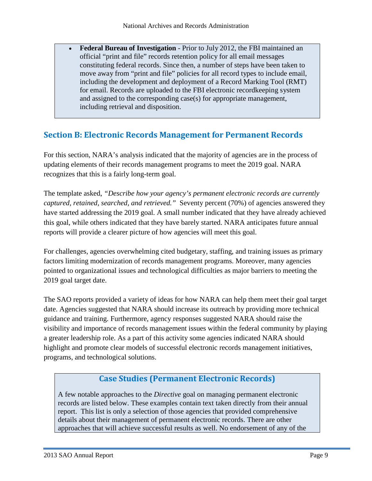• **Federal Bureau of Investigation** - Prior to July 2012, the FBI maintained an official "print and file" records retention policy for all email messages constituting federal records. Since then, a number of steps have been taken to move away from "print and file" policies for all record types to include email, including the development and deployment of a Record Marking Tool (RMT) for email. Records are uploaded to the FBI electronic recordkeeping system and assigned to the corresponding case(s) for appropriate management, including retrieval and disposition.

## <span id="page-8-0"></span>**Section B: Electronic Records Management for Permanent Records**

For this section, NARA's analysis indicated that the majority of agencies are in the process of updating elements of their records management programs to meet the 2019 goal. NARA recognizes that this is a fairly long-term goal.

The template asked, *"Describe how your agency's permanent electronic records are currently captured, retained, searched, and retrieved."* Seventy percent (70%) of agencies answered they have started addressing the 2019 goal. A small number indicated that they have already achieved this goal, while others indicated that they have barely started. NARA anticipates future annual reports will provide a clearer picture of how agencies will meet this goal.

For challenges, agencies overwhelming cited budgetary, staffing, and training issues as primary factors limiting modernization of records management programs. Moreover, many agencies pointed to organizational issues and technological difficulties as major barriers to meeting the 2019 goal target date.

The SAO reports provided a variety of ideas for how NARA can help them meet their goal target date. Agencies suggested that NARA should increase its outreach by providing more technical guidance and training. Furthermore, agency responses suggested NARA should raise the visibility and importance of records management issues within the federal community by playing a greater leadership role. As a part of this activity some agencies indicated NARA should highlight and promote clear models of successful electronic records management initiatives, programs, and technological solutions.

## **Case Studies (Permanent Electronic Records)**

A few notable approaches to the *Directive* goal on managing permanent electronic records are listed below. These examples contain text taken directly from their annual report. This list is only a selection of those agencies that provided comprehensive details about their management of permanent electronic records. There are other approaches that will achieve successful results as well. No endorsement of any of the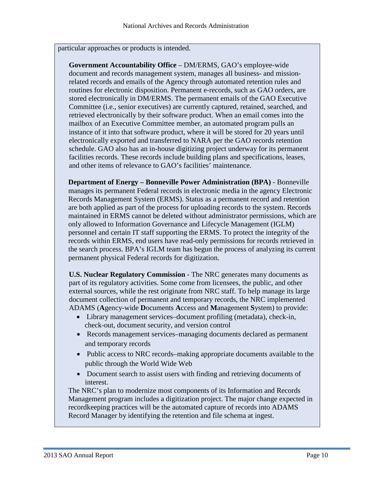particular approaches or products is intended.

**Government Accountability Office** – DM/ERMS, GAO's employee-wide document and records management system, manages all business- and missionrelated records and emails of the Agency through automated retention rules and routines for electronic disposition. Permanent e-records, such as GAO orders, are stored electronically in DM/ERMS. The permanent emails of the GAO Executive Committee (i.e., senior executives) are currently captured, retained, searched, and retrieved electronically by their software product. When an email comes into the mailbox of an Executive Committee member, an automated program pulls an instance of it into that software product, where it will be stored for 20 years until electronically exported and transferred to NARA per the GAO records retention schedule. GAO also has an in-house digitizing project underway for its permanent facilities records. These records include building plans and specifications, leases, and other items of relevance to GAO's facilities' maintenance.

**Department of Energy – Bonneville Power Administration (BPA)** - Bonneville manages its permanent Federal records in electronic media in the agency Electronic Records Management System (ERMS). Status as a permanent record and retention are both applied as part of the process for uploading records to the system. Records maintained in ERMS cannot be deleted without administrator permissions, which are only allowed to Information Governance and Lifecycle Management (IGLM) personnel and certain IT staff supporting the ERMS. To protect the integrity of the records within ERMS, end users have read-only permissions for records retrieved in the search process. BPA's IGLM team has begun the process of analyzing its current permanent physical Federal records for digitization.

**U.S. Nuclear Regulatory Commission** - The NRC generates many documents as part of its regulatory activities. Some come from licensees, the public, and other external sources, while the rest originate from NRC staff. To help manage its large document collection of permanent and temporary records, the NRC implemented ADAMS (**A**gency-wide **D**ocuments **A**ccess and **M**anagement **S**ystem) to provide:

- Library management services–document profiling (metadata), check-in, check-out, document security, and version control
- Records management services–managing documents declared as permanent and temporary records
- Public access to NRC records–making appropriate documents available to the public through the World Wide Web
- Document search to assist users with finding and retrieving documents of interest.

The NRC's plan to modernize most components of its Information and Records Management program includes a digitization project. The major change expected in recordkeeping practices will be the automated capture of records into ADAMS Record Manager by identifying the retention and file schema at ingest.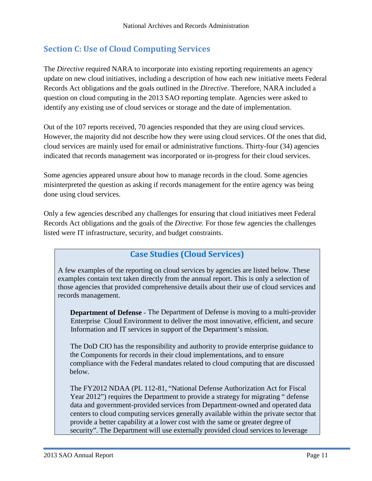# <span id="page-10-0"></span>**Section C: Use of Cloud Computing Services**

The *Directive* required NARA to incorporate into existing reporting requirements an agency update on new cloud initiatives, including a description of how each new initiative meets Federal Records Act obligations and the goals outlined in the *Directive*. Therefore, NARA included a question on cloud computing in the 2013 SAO reporting template. Agencies were asked to identify any existing use of cloud services or storage and the date of implementation.

Out of the 107 reports received, 70 agencies responded that they are using cloud services. However, the majority did not describe how they were using cloud services. Of the ones that did, cloud services are mainly used for email or administrative functions. Thirty-four (34) agencies indicated that records management was incorporated or in-progress for their cloud services.

Some agencies appeared unsure about how to manage records in the cloud. Some agencies misinterpreted the question as asking if records management for the entire agency was being done using cloud services.

Only a few agencies described any challenges for ensuring that cloud initiatives meet Federal Records Act obligations and the goals of the *Directive.* For those few agencies the challenges listed were IT infrastructure, security, and budget constraints.

## **Case Studies (Cloud Services)**

A few examples of the reporting on cloud services by agencies are listed below. These examples contain text taken directly from the annual report. This is only a selection of those agencies that provided comprehensive details about their use of cloud services and records management.

 **Department of Defense** - The Department of Defense is moving to a multi-provider Enterprise Cloud Environment to deliver the most innovative, efficient, and secure Information and IT services in support of the Department's mission.

 The DoD CIO has the responsibility and authority to provide enterprise guidance to the Components for records in their cloud implementations, and to ensure compliance with the Federal mandates related to cloud computing that are discussed below.

The FY2012 NDAA (PL 112-81, "National Defense Authorization Act for Fiscal Year 2012") requires the Department to provide a strategy for migrating " defense data and government-provided services from Department-owned and operated data centers to cloud computing services generally available within the private sector that provide a better capability at a lower cost with the same or greater degree of security". The Department will use externally provided cloud services to leverage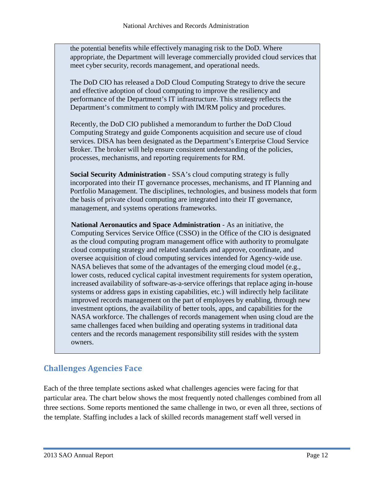the potential benefits while effectively managing risk to the DoD. Where appropriate, the Department will leverage commercially provided cloud services that meet cyber security, records management, and operational needs.

The DoD CIO has released a DoD Cloud Computing Strategy to drive the secure and effective adoption of cloud computing to improve the resiliency and performance of the Department's IT infrastructure. This strategy reflects the Department's commitment to comply with IM/RM policy and procedures.

Recently, the DoD CIO published a memorandum to further the DoD Cloud Computing Strategy and guide Components acquisition and secure use of cloud services. DISA has been designated as the Department's Enterprise Cloud Service Broker. The broker will help ensure consistent understanding of the policies, processes, mechanisms, and reporting requirements for RM.

**Social Security Administration** - SSA's cloud computing strategy is fully incorporated into their IT governance processes, mechanisms, and IT Planning and Portfolio Management. The disciplines, technologies, and business models that form the basis of private cloud computing are integrated into their IT governance, management, and systems operations frameworks.

**National Aeronautics and Space Administration** - As an initiative, the Computing Services Service Office (CSSO) in the Office of the CIO is designated as the cloud computing program management office with authority to promulgate cloud computing strategy and related standards and approve, coordinate, and oversee acquisition of cloud computing services intended for Agency-wide use. NASA believes that some of the advantages of the emerging cloud model (e.g., lower costs, reduced cyclical capital investment requirements for system operation, increased availability of software-as-a-service offerings that replace aging in-house systems or address gaps in existing capabilities, etc.) will indirectly help facilitate improved records management on the part of employees by enabling, through new investment options, the availability of better tools, apps, and capabilities for the NASA workforce. The challenges of records management when using cloud are the same challenges faced when building and operating systems in traditional data centers and the records management responsibility still resides with the system owners.

# <span id="page-11-0"></span>**Challenges Agencies Face**

Each of the three template sections asked what challenges agencies were facing for that particular area. The chart below shows the most frequently noted challenges combined from all three sections. Some reports mentioned the same challenge in two, or even all three, sections of the template. Staffing includes a lack of skilled records management staff well versed in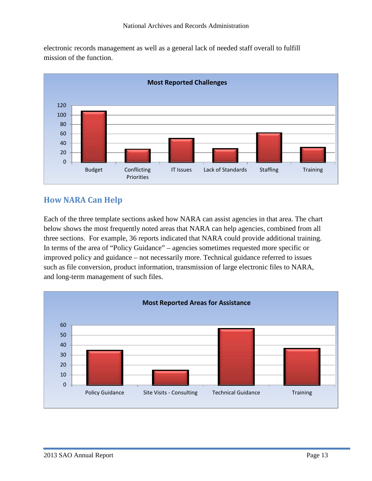electronic records management as well as a general lack of needed staff overall to fulfill mission of the function.



# <span id="page-12-0"></span>**How NARA Can Help**

Each of the three template sections asked how NARA can assist agencies in that area. The chart below shows the most frequently noted areas that NARA can help agencies, combined from all three sections. For example, 36 reports indicated that NARA could provide additional training. In terms of the area of "Policy Guidance" – agencies sometimes requested more specific or improved policy and guidance – not necessarily more. Technical guidance referred to issues such as file conversion, product information, transmission of large electronic files to NARA, and long-term management of such files.

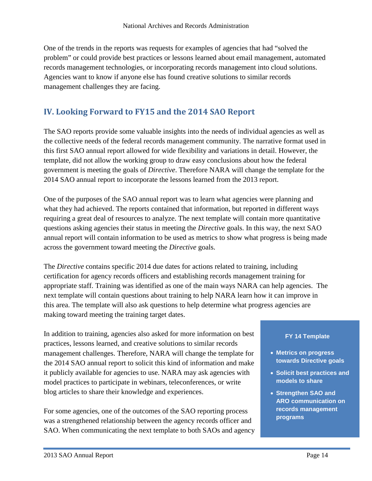One of the trends in the reports was requests for examples of agencies that had "solved the problem" or could provide best practices or lessons learned about email management, automated records management technologies, or incorporating records management into cloud solutions. Agencies want to know if anyone else has found creative solutions to similar records management challenges they are facing.

# **IV. Looking Forward to FY15 and the 2014 SAO Report**

The SAO reports provide some valuable insights into the needs of individual agencies as well as the collective needs of the federal records management community. The narrative format used in this first SAO annual report allowed for wide flexibility and variations in detail. However, the template, did not allow the working group to draw easy conclusions about how the federal government is meeting the goals of *Directive*. Therefore NARA will change the template for the 2014 SAO annual report to incorporate the lessons learned from the 2013 report.

One of the purposes of the SAO annual report was to learn what agencies were planning and what they had achieved. The reports contained that information, but reported in different ways requiring a great deal of resources to analyze. The next template will contain more quantitative questions asking agencies their status in meeting the *Directive* goals. In this way, the next SAO annual report will contain information to be used as metrics to show what progress is being made across the government toward meeting the *Directive* goals.

The *Directive* contains specific 2014 due dates for actions related to training, including certification for agency records officers and establishing records management training for appropriate staff. Training was identified as one of the main ways NARA can help agencies. The next template will contain questions about training to help NARA learn how it can improve in this area. The template will also ask questions to help determine what progress agencies are making toward meeting the training target dates.

In addition to training, agencies also asked for more information on best practices, lessons learned, and creative solutions to similar records management challenges. Therefore, NARA will change the template for the 2014 SAO annual report to solicit this kind of information and make it publicly available for agencies to use. NARA may ask agencies with model practices to participate in webinars, teleconferences, or write blog articles to share their knowledge and experiences.

For some agencies, one of the outcomes of the SAO reporting process was a strengthened relationship between the agency records officer and SAO. When communicating the next template to both SAOs and agency

#### **FY 14 Template**

- **Metrics on progress towards Directive goals**
- **Solicit best practices and models to share**
- **Strengthen SAO and ARO communication on records management programs**